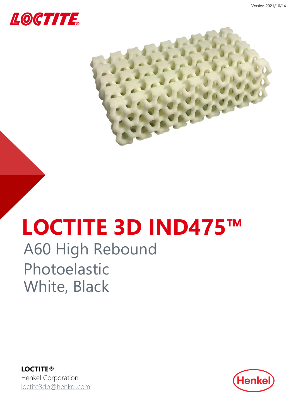



# **LOCTITE 3D IND475™**

# A60 High Rebound Photoelastic White, Black

**LOCTITE®** Henkel Corporation [loctite3dp@henkel.com](mailto:loctite3dp@henkel.com)

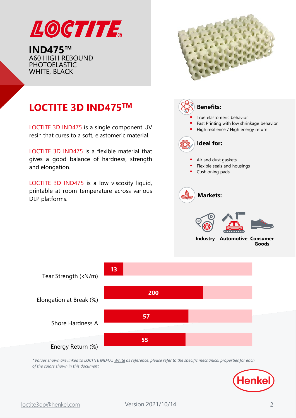

**IND475™** A60 HIGH REBOUND PHOTOELASTIC WHITE, BLACK



# **LOCTITE 3D IND475TM**

LOCTITE 3D IND475 is a single component UV resin that cures to a soft, elastomeric material.

LOCTITE 3D IND475 is a flexible material that gives a good balance of hardness, strength and elongation.

LOCTITE 3D IND475 is a low viscosity liquid, printable at room temperature across various DLP platforms.





*\*Values shown are linked to LOCTITE IND475 White as reference, please refer to the specific mechanical properties for each of the colors shown in this document*

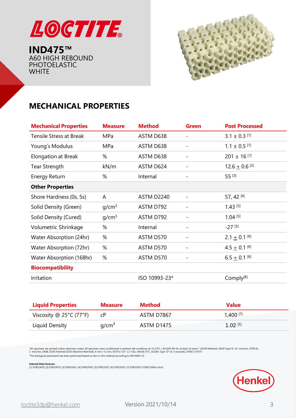

**IND475™** A60 HIGH REBOUND PHOTOELASTIC **WHITE** 



# **MECHANICAL PROPERTIES**

| <b>Mechanical Properties</b>   | <b>Measure</b>    | <b>Method</b> | <b>Green</b>                 | <b>Post Processed</b>       |
|--------------------------------|-------------------|---------------|------------------------------|-----------------------------|
| <b>Tensile Stress at Break</b> | MPa               | ASTM D638     |                              | $3.1 \pm 0.3$ [1]           |
| Young's Modulus                | MPa               | ASTM D638     | -                            | $1.1 \pm 0.5$ [1]           |
| Elongation at Break            | %                 | ASTM D638     | $\qquad \qquad \blacksquare$ | $201 \pm 16$ [1]            |
| Tear Strength                  | kN/m              | ASTM D624     |                              | $12.6 + 0.6$ <sup>[2]</sup> |
| <b>Energy Return</b>           | %                 | Internal      |                              | 55 [3]                      |
| <b>Other Properties</b>        |                   |               |                              |                             |
| Shore Hardness (0s, 5s)        | A                 | ASTM D2240    |                              | 57, 42 [4]                  |
| Solid Density (Green)          | g/cm <sup>3</sup> | ASTM D792     |                              | $1.43^{[5]}$                |
| Solid Density (Cured)          | g/cm <sup>3</sup> | ASTM D792     |                              | $1.04$ <sup>[5]</sup>       |
| Volumetric Shrinkage           | %                 | Internal      |                              | $-27$ [5]                   |
| Water Absorption (24hr)        | %                 | ASTM D570     |                              | $2.1 \pm 0.1$ [6]           |
| Water Absorption (72hr)        | %                 | ASTM D570     | $\qquad \qquad -$            | $4.5 + 0.1$ [6]             |
| Water Absorption (168hr)       | %                 | ASTM D570     |                              | $6.5 \pm 0.1$ [6]           |
| <b>Biocompatibility</b>        |                   |               |                              |                             |
| Irritation                     |                   | ISO 10993-23* |                              | Comply <sup>[8]</sup>       |

| <b>Liquid Properties</b>                     | <b>Measure</b>    | <b>Method</b> | Value      |
|----------------------------------------------|-------------------|---------------|------------|
| Viscosity @ $25^{\circ}$ C (77 $^{\circ}$ F) |                   | ASTM D7867    | 1,400 [7]  |
| Liquid Density                               | q/cm <sup>3</sup> | ASTM D1475    | 1.02 $[5]$ |

"All specimen are printed unless otherwise noted. All specimen were conditioned in ambient lab conditions at 19-23°C / 40-60% RH for at least 24 hours." ASTM Methods: D638 Type IV, 50 mm/min, D790-B,<br>2 mm/min, D648, D256

\*The biological assessment has been performed based on the in vitro method according to ISO10993-23

**Internal Data Sources:**<br>[1] FOR22878, [2] FOR22879, [3] FOR22952, [4] FOR22950, [5] FOR23307, [6] FOR22955, [7] FOR22875, FOR52189(in vitro)

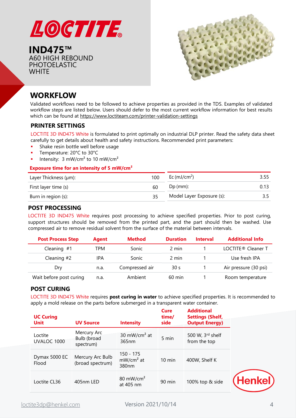

**IND475™** A60 HIGH REBOUND PHOTOELASTIC **WHITE** 



# **WORKFLOW**

Validated workflows need to be followed to achieve properties as provided in the TDS. Examples of validated workflow steps are listed below. Users should defer to the most current workflow information for best results which can be found at <https://www.loctiteam.com/printer-validation-settings>

#### **PRINTER SETTINGS**

LOCTITE 3D IND475 White is formulated to print optimally on industrial DLP printer. Read the safety data sheet carefully to get details about health and safety instructions. Recommended print parameters:

- Shake resin bottle well before usage
- Temperature: 20°C to 30°C
- Intensity:  $3 \text{ mW/cm}^2$  to  $10 \text{ mW/cm}^2$

#### **Exposure time for an intensity of 5 mW/cm²**

| Layer Thickness (µm): | 100 | Ec (mJ/cm <sup>2</sup> )  | 3.55 |
|-----------------------|-----|---------------------------|------|
| First layer time (s)  | 60  | $Dp$ (mm):                | 0.13 |
| Burn in region (s):   | 35. | Model Layer Exposure (s): |      |

#### **POST PROCESSING**

LOCTITE 3D IND475 White requires post processing to achieve specified properties. Prior to post curing, support structures should be removed from the printed part, and the part should then be washed. Use compressed air to remove residual solvent from the surface of the material between intervals.

| <b>Post Process Step</b> | Agent | <b>Method</b>  | <b>Duration</b>  | <b>Interval</b> | <b>Additional Info</b>         |
|--------------------------|-------|----------------|------------------|-----------------|--------------------------------|
| Cleaning #1              | TPM   | Sonic          | 2 min            |                 | LOCTITE <sup>®</sup> Cleaner T |
| Cleaning $#2$            | IPA   | Sonic          | 2 min            |                 | Use fresh IPA                  |
| Dry                      | n.a.  | Compressed air | 30 <sub>s</sub>  |                 | Air pressure (30 psi)          |
| Wait before post curing  | n.a.  | Ambient        | $60 \text{ min}$ |                 | Room temperature               |

#### **POST CURING**

LOCTITE 3D IND475 White requires **post curing in water** to achieve specified properties. It is recommended to apply a mold release on the parts before submerged in a transparent water container.

| <b>UC Curing</b><br><b>Unit</b> | <b>UV Source</b>                        | <b>Intensity</b>                              | <b>Cure</b><br>time/<br>side | <b>Additional</b><br><b>Settings (Shelf,</b><br><b>Output Energy)</b> |          |
|---------------------------------|-----------------------------------------|-----------------------------------------------|------------------------------|-----------------------------------------------------------------------|----------|
| Loctite<br>UVALOC 1000          | Mercury Arc<br>Bulb (broad<br>spectrum) | 30 mW/cm <sup>2</sup> at<br>365nm             | 5 min                        | 500 W, 3rd shelf<br>from the top                                      |          |
| Dymax 5000 EC<br>Flood          | Mercury Arc Bulb<br>(broad spectrum)    | 150 - 175<br>$mW/cm2$ at<br>380 <sub>nm</sub> | $10 \text{ min}$             | 400W, Shelf K                                                         |          |
| Loctite CL36                    | 405nm LED                               | 80 mW/cm <sup>2</sup><br>at 405 nm            | 90 min                       | 100% top & side                                                       | (Henkel) |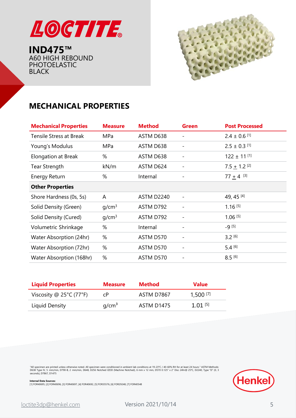

**IND475™** A60 HIGH REBOUND PHOTOELASTIC BLACK



# **MECHANICAL PROPERTIES**

| <b>Mechanical Properties</b>   | <b>Measure</b>    | <b>Method</b> | <b>Green</b>             | <b>Post Processed</b>        |
|--------------------------------|-------------------|---------------|--------------------------|------------------------------|
| <b>Tensile Stress at Break</b> | MPa               | ASTM D638     |                          | $2.4 \pm 0.6$ <sup>[1]</sup> |
| Young's Modulus                | MPa               | ASTM D638     |                          | $2.5 \pm 0.3$ [1]            |
| Elongation at Break            | %                 | ASTM D638     | $\overline{\phantom{a}}$ | $122 \pm 11$ [1]             |
| <b>Tear Strength</b>           | kN/m              | ASTM D624     |                          | $7.5 + 1.2$ <sup>[2]</sup>   |
| <b>Energy Return</b>           | %                 | Internal      | $\overline{\phantom{a}}$ | $77 + 4$ [3]                 |
| <b>Other Properties</b>        |                   |               |                          |                              |
| Shore Hardness (0s, 5s)        | A                 | ASTM D2240    | $\overline{\phantom{a}}$ | 49, 45 [4]                   |
| Solid Density (Green)          | g/cm <sup>3</sup> | ASTM D792     |                          | $1.16^{[5]}$                 |
| Solid Density (Cured)          | q/cm <sup>3</sup> | ASTM D792     |                          | $1.06$ <sup>[5]</sup>        |
| Volumetric Shrinkage           | %                 | Internal      | $\overline{\phantom{a}}$ | $-9^{[5]}$                   |
| Water Absorption (24hr)        | %                 | ASTM D570     | -                        | $3.2^{[6]}$                  |
| Water Absorption (72hr)        | $\%$              | ASTM D570     |                          | $5.4^{[6]}$                  |
| Water Absorption (168hr)       | %                 | ASTM D570     |                          | $8.5^{[6]}$                  |

| <b>Liquid Properties</b>                     | <b>Measure</b>    | <b>Method</b> | <b>Value</b>           |
|----------------------------------------------|-------------------|---------------|------------------------|
| Viscosity @ $25^{\circ}$ C (77 $^{\circ}$ F) | сP                | ASTM D7867    | $1,500$ <sup>[7]</sup> |
| Liquid Density                               | q/cm <sup>3</sup> | ASTM D1475    | $1.01$ [5]             |

"All specimen are printed unless otherwise noted. All specimen were conditioned in ambient lab conditions at 19-23°C / 40-60% RH for at least 24 hours." ASTM Methods<br>D638 Type IV, 5 mm/min, D790-B, 2 mm/min, D648, D256 Not



**Internal Data Sources:**<br>[1] FOR40695, [2] FOR40696, [3] FOR40697, [4] FOR40692, [5] FOR35576, [6] FOR29248, [7] FOR40548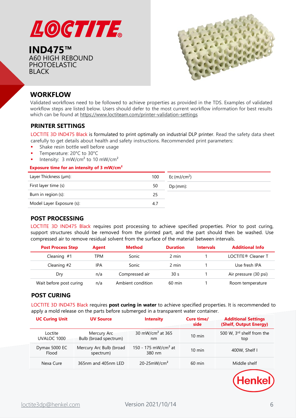

**IND475™** A60 HIGH REBOUND PHOTOELASTIC BLACK



### **WORKFLOW**

Validated workflows need to be followed to achieve properties as provided in the TDS. Examples of validated workflow steps are listed below. Users should defer to the most current workflow information for best results which can be found at <https://www.loctiteam.com/printer-validation-settings>

#### **PRINTER SETTINGS**

LOCTITE 3D IND475 Black is formulated to print optimally on industrial DLP printer. Read the safety data sheet carefully to get details about health and safety instructions. Recommended print parameters:

- Shake resin bottle well before usage
- Temperature: 20°C to 30°C
- Intensity:  $3 \text{ mW/cm}^2$  to  $10 \text{ mW/cm}^2$

#### **Exposure time for an intensity of 3 mW/cm²**

| Layer Thickness (µm):     | 100 | Ec $(mJ/cm2)$ |
|---------------------------|-----|---------------|
| First layer time (s)      | 50  | $Dp$ (mm):    |
| Burn in region (s):       | 25  |               |
| Model Layer Exposure (s): | 4.7 |               |

#### **POST PROCESSING**

LOCTITE 3D IND475 Black requires post processing to achieve specified properties. Prior to post curing, support structures should be removed from the printed part, and the part should then be washed. Use compressed air to remove residual solvent from the surface of the material between intervals.

| <b>Post Process Step</b> | Agent | <b>Method</b>     | <b>Duration</b>  | <b>Intervals</b> | <b>Additional Info</b>         |
|--------------------------|-------|-------------------|------------------|------------------|--------------------------------|
| Cleaning $#1$            | TPM   | Sonic             | 2 min            |                  | LOCTITE <sup>®</sup> Cleaner T |
| Cleaning #2              | IPA   | Sonic             | 2 min            |                  | Use fresh IPA                  |
| Dry                      | n/a   | Compressed air    | 30 <sub>s</sub>  |                  | Air pressure (30 psi)          |
| Wait before post curing  | n/a   | Ambient condition | $60 \text{ min}$ |                  | Room temperature               |

#### **POST CURING**

LOCTITE 3D IND475 Black requires **post curing in water** to achieve specified properties. It is recommended to apply a mold release on the parts before submerged in a transparent water container.

| <b>UC Curing Unit</b>  | <b>UV Source</b>                     | <b>Intensity</b>                          | Cure time/<br>side | <b>Additional Settings</b><br>(Shelf, Output Energy) |
|------------------------|--------------------------------------|-------------------------------------------|--------------------|------------------------------------------------------|
| Loctite<br>UVALOC 1000 | Mercury Arc<br>Bulb (broad spectrum) | 30 mW/cm <sup>2</sup> at 365<br>nm        | $10 \text{ min}$   | 500 W, 3rd shelf from the<br>top                     |
| Dymax 5000 EC<br>Flood | Mercury Arc Bulb (broad<br>spectrum) | 150 - 175 mW/cm <sup>2</sup> at<br>380 nm | $10 \text{ min}$   | 400W, Shelf I                                        |
| Nexa Cure              | 365nm and 405nm LED                  | $20-25$ mW/cm <sup>2</sup>                | $60 \text{ min}$   | Middle shelf                                         |

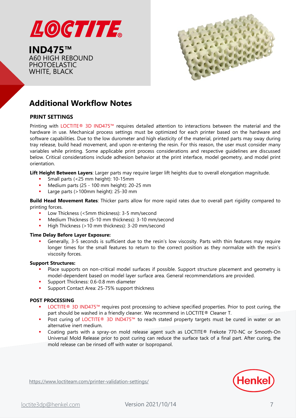

**IND475™** A60 HIGH REBOUND PHOTOELASTIC WHITE, BLACK



# **Additional Workflow Notes**

#### **PRINT SETTINGS**

Printing with LOCTITE® 3D IND475™ requires detailed attention to interactions between the material and the hardware in use. Mechanical process settings must be optimized for each printer based on the hardware and software capabilities. Due to the low durometer and high elasticity of the material, printed parts may sway during tray release, build head movement, and upon re-entering the resin. For this reason, the user must consider many variables while printing. Some applicable print process considerations and respective guidelines are discussed below. Critical considerations include adhesion behavior at the print interface, model geometry, and model print orientation.

**Lift Height Between Layers**: Larger parts may require larger lift heights due to overall elongation magnitude.

- Small parts (<25 mm height): 10-15mm
- Medium parts (25 100 mm height): 20-25 mm
- Large parts (>100mm height): 25-30 mm

**Build Head Movement Rates**: Thicker parts allow for more rapid rates due to overall part rigidity compared to printing forces.

- Low Thickness (<5mm thickness): 3-5 mm/second
- Medium Thickness (5-10 mm thickness): 3-10 mm/second
- High Thickness (>10 mm thickness): 3-20 mm/second

#### **Time Delay Before Layer Exposure:**

Generally, 3-5 seconds is sufficient due to the resin's low viscosity. Parts with thin features may require longer times for the small features to return to the correct position as they normalize with the resin's viscosity forces.

#### **Support Structures:**

- Place supports on non-critical model surfaces if possible. Support structure placement and geometry is model-dependent based on model layer surface area. General recommendations are provided.
- Support Thickness: 0.6-0.8 mm diameter
- Support Contact Area: 25-75% support thickness

#### **POST PROCESSING**

- LOCTITE® 3D IND475™ requires post processing to achieve specified properties. Prior to post curing, the part should be washed in a friendly cleaner. We recommend in LOCTITE® Cleaner T.
- Post curing of LOCTITE® 3D IND475™ to reach stated property targets must be cured in water or an alternative inert medium.
- Coating parts with a spray-on mold release agent such as LOCTITE® Frekote 770-NC or Smooth-On Universal Mold Release prior to post curing can reduce the surface tack of a final part. After curing, the mold release can be rinsed off with water or Isopropanol.



<https://www.loctiteam.com/printer-validation-settings/>